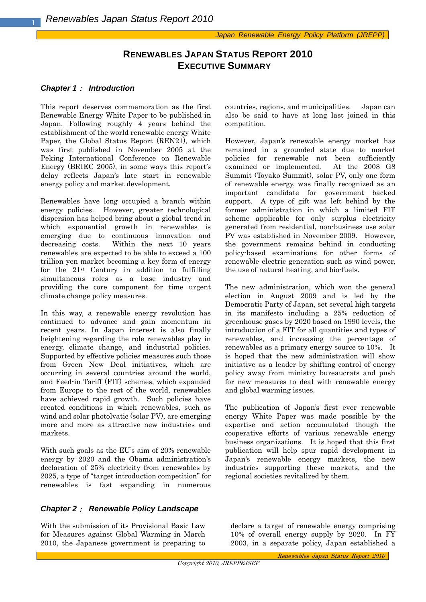# **RENEWABLES JAPAN STATUS REPORT 2010 EXECUTIVE SUMMARY**

### *Chapter 1*: *Introduction*

This report deserves commemoration as the first Renewable Energy White Paper to be published in Japan. Following roughly 4 years behind the establishment of the world renewable energy White Paper, the Global Status Report (REN21), which was first published in November 2005 at the Peking International Conference on Renewable Energy (BRIEC 2005), in some ways this report's delay reflects Japan's late start in renewable energy policy and market development.

Renewables have long occupied a branch within energy policies. However, greater technological dispersion has helped bring about a global trend in which exponential growth in renewables is emerging due to continuous innovation and decreasing costs. Within the next 10 years renewables are expected to be able to exceed a 100 trillion yen market becoming a key form of energy for the  $21^{st}$  Century in addition to fulfilling simultaneous roles as a base industry and providing the core component for time urgent climate change policy measures.

In this way, a renewable energy revolution has continued to advance and gain momentum in recent years. In Japan interest is also finally heightening regarding the role renewables play in energy, climate change, and industrial policies. Supported by effective policies measures such those from Green New Deal initiatives, which are occurring in several countries around the world, and Feed-in Tariff (FIT) schemes, which expanded from Europe to the rest of the world, renewables have achieved rapid growth. Such policies have created conditions in which renewables, such as wind and solar photolvatic (solar PV), are emerging more and more as attractive new industries and markets.

With such goals as the EU's aim of 20% renewable energy by 2020 and the Obama administration's declaration of 25% electricity from renewables by 2025, a type of "target introduction competition" for renewables is fast expanding in numerous countries, regions, and municipalities. Japan can also be said to have at long last joined in this competition.

However, Japan's renewable energy market has remained in a grounded state due to market policies for renewable not been sufficiently examined or implemented. At the 2008 G8 Summit (Toyako Summit), solar PV, only one form of renewable energy, was finally recognized as an important candidate for government backed support. A type of gift was left behind by the former administration in which a limited FIT scheme applicable for only surplus electricity generated from residential, non-business use solar PV was established in November 2009. However, the government remains behind in conducting policy-based examinations for other forms of renewable electric generation such as wind power, the use of natural heating, and bio-fuels.

The new administration, which won the general election in August 2009 and is led by the Democratic Party of Japan, set several high targets in its manifesto including a 25% reduction of greenhouse gases by 2020 based on 1990 levels, the introduction of a FIT for all quantities and types of renewables, and increasing the percentage of renewables as a primary energy source to 10%. It is hoped that the new administration will show initiative as a leader by shifting control of energy policy away from ministry bureaucrats and push for new measures to deal with renewable energy and global warming issues.

The publication of Japan's first ever renewable energy White Paper was made possible by the expertise and action accumulated though the cooperative efforts of various renewable energy business organizations. It is hoped that this first publication will help spur rapid development in Japan's renewable energy markets, the new industries supporting these markets, and the regional societies revitalized by them.

### *Chapter 2*: *Renewable Policy Landscape*

With the submission of its Provisional Basic Law for Measures against Global Warming in March 2010, the Japanese government is preparing to declare a target of renewable energy comprising 10% of overall energy supply by 2020. In FY 2003, in a separate policy, Japan established a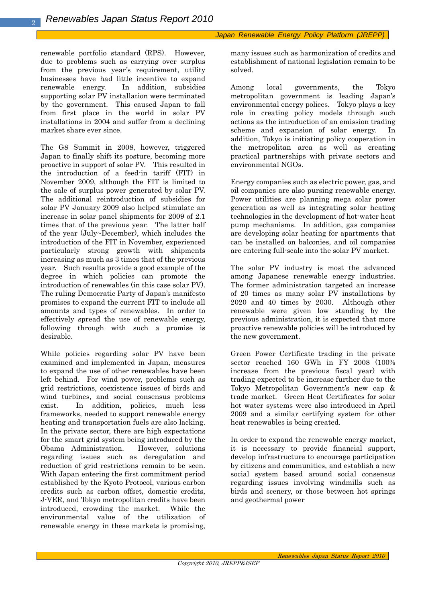renewable portfolio standard (RPS). However, due to problems such as carrying over surplus from the previous year's requirement, utility businesses have had little incentive to expand renewable energy. In addition, subsidies supporting solar PV installation were terminated by the government. This caused Japan to fall from first place in the world in solar PV installations in 2004 and suffer from a declining market share ever since.

The G8 Summit in 2008, however, triggered Japan to finally shift its posture, becoming more proactive in support of solar PV. This resulted in the introduction of a feed-in tariff (FIT) in November 2009, although the FIT is limited to the sale of surplus power generated by solar PV. The additional reintroduction of subsidies for solar PV January 2009 also helped stimulate an increase in solar panel shipments for 2009 of 2.1 times that of the previous year. The latter half of the year (July~December), which includes the introduction of the FIT in November, experienced particularly strong growth with shipments increasing as much as 3 times that of the previous year. Such results provide a good example of the degree in which policies can promote the introduction of renewables (in this case solar PV). The ruling Democratic Party of Japan's manifesto promises to expand the current FIT to include all amounts and types of renewables. In order to effectively spread the use of renewable energy, following through with such a promise is desirable.

While policies regarding solar PV have been examined and implemented in Japan, measures to expand the use of other renewables have been left behind. For wind power, problems such as grid restrictions, coexistence issues of birds and wind turbines, and social consensus problems exist. In addition, policies, much less frameworks, needed to support renewable energy heating and transportation fuels are also lacking. In the private sector, there are high expectations for the smart grid system being introduced by the Obama Administration. However, solutions regarding issues such as deregulation and reduction of grid restrictions remain to be seen. With Japan entering the first commitment period established by the Kyoto Protocol, various carbon credits such as carbon offset, domestic credits, J-VER, and Tokyo metropolitan credits have been introduced, crowding the market. While the environmental value of the utilization of renewable energy in these markets is promising,

many issues such as harmonization of credits and establishment of national legislation remain to be solved.

Among local governments, the Tokyo metropolitan government is leading Japan's environmental energy polices. Tokyo plays a key role in creating policy models through such actions as the introduction of an emission trading scheme and expansion of solar energy. In addition, Tokyo is initiating policy cooperation in the metropolitan area as well as creating practical partnerships with private sectors and environmental NGOs.

Energy companies such as electric power, gas, and oil companies are also pursing renewable energy. Power utilities are planning mega solar power generation as well as integrating solar heating technologies in the development of hot-water heat pump mechanisms. In addition, gas companies are developing solar heating for apartments that can be installed on balconies, and oil companies are entering full-scale into the solar PV market.

The solar PV industry is most the advanced among Japanese renewable energy industries. The former administration targeted an increase of 20 times as many solar PV installations by 2020 and 40 times by 2030. Although other renewable were given low standing by the previous administration, it is expected that more proactive renewable policies will be introduced by the new government.

Green Power Certificate trading in the private sector reached 160 GWh in FY 2008 (100% increase from the previous fiscal year) with trading expected to be increase further due to the Tokyo Metropolitan Government's new cap & trade market. Green Heat Certificates for solar hot water systems were also introduced in April 2009 and a similar certifying system for other heat renewables is being created.

In order to expand the renewable energy market, it is necessary to provide financial support, develop infrastructure to encourage participation by citizens and communities, and establish a new social system based around social consensus regarding issues involving windmills such as birds and scenery, or those between hot springs and geothermal power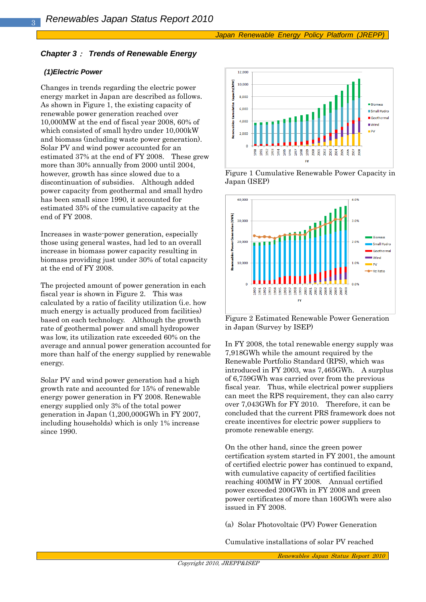### *Chapter 3*: *Trends of Renewable Energy*

#### *(1)Electric Power*

Changes in trends regarding the electric power energy market in Japan are described as follows. As shown in Figure 1, the existing capacity of renewable power generation reached over 10,000MW at the end of fiscal year 2008, 60% of which consisted of small hydro under 10,000kW and biomass (including waste power generation). Solar PV and wind power accounted for an estimated 37% at the end of FY 2008. These grew more than 30% annually from 2000 until 2004, however, growth has since slowed due to a discontinuation of subsidies. Although added power capacity from geothermal and small hydro has been small since 1990, it accounted for estimated 35% of the cumulative capacity at the end of FY 2008.

Increases in waste-power generation, especially those using general wastes, had led to an overall increase in biomass power capacity resulting in biomass providing just under 30% of total capacity at the end of FY 2008.

The projected amount of power generation in each fiscal year is shown in Figure 2. This was calculated by a ratio of facility utilization (i.e. how much energy is actually produced from facilities) based on each technology. Although the growth rate of geothermal power and small hydropower was low, its utilization rate exceeded 60% on the average and annual power generation accounted for more than half of the energy supplied by renewable energy.

Solar PV and wind power generation had a high growth rate and accounted for 15% of renewable energy power generation in FY 2008. Renewable energy supplied only 3% of the total power generation in Japan (1,200,000GWh in FY 2007, including households) which is only 1% increase since 1990.







Figure 2 Estimated Renewable Power Generation in Japan (Survey by ISEP)

In FY 2008, the total renewable energy supply was 7,918GWh while the amount required by the Renewable Portfolio Standard (RPS), which was introduced in FY 2003, was 7,465GWh. A surplus of 6,759GWh was carried over from the previous fiscal year. Thus, while electrical power suppliers can meet the RPS requirement, they can also carry over 7,043GWh for FY 2010. Therefore, it can be concluded that the current PRS framework does not create incentives for electric power suppliers to promote renewable energy.

On the other hand, since the green power certification system started in FY 2001, the amount of certified electric power has continued to expand, with cumulative capacity of certified facilities reaching 400MW in FY 2008. Annual certified power exceeded 200GWh in FY 2008 and green power certificates of more than 160GWh were also issued in FY 2008.

(a) Solar Photovoltaic (PV) Power Generation

Cumulative installations of solar PV reached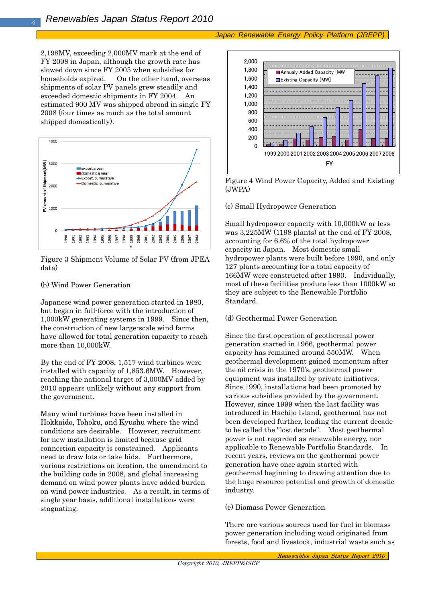### *Japan Renewable Energy Policy Platform (JREPP)*

2,198MV, exceeding 2,000MV mark at the end of FY 2008 in Japan, although the growth rate has slowed down since FY 2005 when subsidies for households expired. On the other hand, overseas shipments of solar PV panels grew steadily and exceeded domestic shipments in FY 2004. An estimated 900 MV was shipped abroad in single FY 2008 (four times as much as the total amount shipped domestically).



Figure 3 Shipment Volume of Solar PV (from JPEA data)

### (b) Wind Power Generation

Japanese wind power generation started in 1980, but began in full-force with the introduction of 1,000kW generating systems in 1999. Since then, the construction of new large-scale wind farms have allowed for total generation capacity to reach more than 10,000kW.

By the end of FY 2008, 1,517 wind turbines were installed with capacity of 1,853.6MW. However, reaching the national target of 3,000MV added by 2010 appears unlikely without any support from the government.

Many wind turbines have been installed in Hokkaido, Tohoku, and Kyushu where the wind conditions are desirable. However, recruitment for new installation is limited because grid connection capacity is constrained. Applicants need to draw lots or take bids. Furthermore, various restrictions on location, the amendment to the building code in 2008, and global increasing demand on wind power plants have added burden on wind power industries. As a result, in terms of single year basis, additional installations were stagnating.



Figure 4 Wind Power Capacity, Added and Existing (JWPA)

(c) Small Hydropower Generation

Small hydropower capacity with 10,000kW or less was 3,225MW (1198 plants) at the end of FY 2008, accounting for 6.6% of the total hydropower capacity in Japan. Most domestic small hydropower plants were built before 1990, and only 127 plants accounting for a total capacity of 166MW were constructed after 1990. Individually, most of these facilities produce less than 1000kW so they are subject to the Renewable Portfolio Standard.

### (d) Geothermal Power Generation

Since the first operation of geothermal power generation started in 1966, geothermal power capacity has remained around 550MW. When geothermal development gained momentum after the oil crisis in the 1970's, geothermal power equipment was installed by private initiatives. Since 1990, installations had been promoted by various subsidies provided by the government. However, since 1999 when the last facility was introduced in Hachijo Island, geothermal has not been developed further, leading the current decade to be called the "lost decade". Most geothermal power is not regarded as renewable energy, nor applicable to Renewable Portfolio Standards. In recent years, reviews on the geothermal power generation have once again started with geothermal beginning to drawing attention due to the huge resource potential and growth of domestic industry.

#### (e) Biomass Power Generation

There are various sources used for fuel in biomass power generation including wood originated from forests, food and livestock, industrial waste such as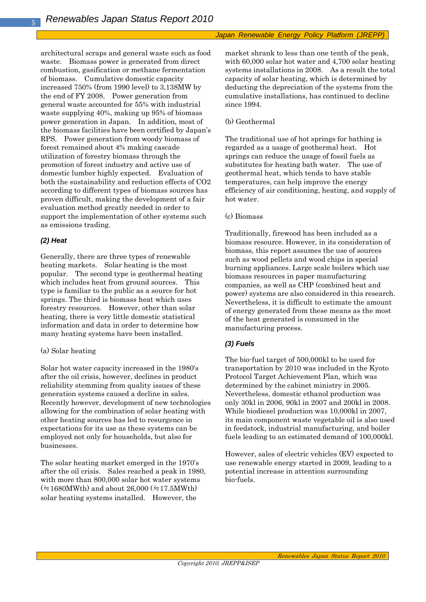architectural scraps and general waste such as food waste. Biomass power is generated from direct combustion, gasification or methane fermentation of biomass. Cumulative domestic capacity increased 750% (from 1990 level) to 3,138MW by the end of FY 2008. Power generation from general waste accounted for 55% with industrial waste supplying 40%, making up 95% of biomass power generation in Japan. In addition, most of the biomass facilities have been certified by Japan's RPS. Power generation from woody biomass of forest remained about 4% making cascade utilization of forestry biomass through the promotion of forest industry and active use of domestic lumber highly expected. Evaluation of both the sustainability and reduction effects of CO2 according to different types of biomass sources has proven difficult, making the development of a fair evaluation method greatly needed in order to support the implementation of other systems such as emissions trading.

# *(2) Heat*

Generally, there are three types of renewable heating markets. Solar heating is the most popular. The second type is geothermal heating which includes heat from ground sources. This type is familiar to the public as a source for hot springs. The third is biomass heat which uses forestry resources. However, other than solar heating, there is very little domestic statistical information and data in order to determine how many heating systems have been installed.

### (a) Solar heating

Solar hot water capacity increased in the 1980's after the oil crisis, however, declines in product reliability stemming from quality issues of these generation systems caused a decline in sales. Recently however, development of new technologies allowing for the combination of solar heating with other heating sources has led to resurgence in expectations for its use as these systems can be employed not only for households, but also for businesses.

The solar heating market emerged in the 1970's after the oil crisis. Sales reached a peak in 1980, with more than 800,000 solar hot water systems  $(=1680MWth)$  and about 26,000 ( $=17.5MWth$ ) solar heating systems installed. However, the

market shrank to less than one tenth of the peak, with 60,000 solar hot water and 4,700 solar heating systems installations in 2008. As a result the total capacity of solar heating, which is determined by deducting the depreciation of the systems from the cumulative installations, has continued to decline since 1994.

### (b) Geothermal

The traditional use of hot springs for bathing is regarded as a usage of geothermal heat. Hot springs can reduce the usage of fossil fuels as substitutes for heating bath water. The use of geothermal heat, which tends to have stable temperatures, can help improve the energy efficiency of air conditioning, heating, and supply of hot water.

### (c) Biomass

Traditionally, firewood has been included as a biomass resource. However, in its consideration of biomass, this report assumes the use of sources such as wood pellets and wood chips in special burning appliances. Large scale boilers which use biomass resources in paper manufacturing companies, as well as CHP (combined heat and power) systems are also considered in this research. Nevertheless, it is difficult to estimate the amount of energy generated from these means as the most of the heat generated is consumed in the manufacturing process.

# *(3) Fuels*

The bio-fuel target of 500,000kl to be used for transportation by 2010 was included in the Kyoto Protocol Target Achievement Plan, which was determined by the cabinet ministry in 2005. Nevertheless, domestic ethanol production was only 30kl in 2006, 90kl in 2007 and 200kl in 2008. While biodiesel production was 10,000kl in 2007, its main component waste vegetable oil is also used in feedstock, industrial manufacturing, and boiler fuels leading to an estimated demand of 100,000kl.

However, sales of electric vehicles (EV) expected to use renewable energy started in 2009, leading to a potential increase in attention surrounding bio-fuels.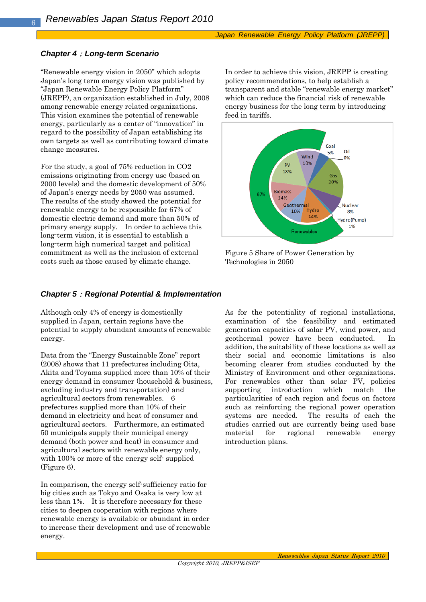## *Chapter 4*:*Long-term Scenario*

"Renewable energy vision in 2050" which adopts Japan's long term energy vision was published by "Japan Renewable Energy Policy Platform" (JREPP), an organization established in July, 2008 among renewable energy related organizations. This vision examines the potential of renewable energy, particularly as a center of "innovation" in regard to the possibility of Japan establishing its own targets as well as contributing toward climate change measures.

For the study, a goal of 75% reduction in CO2 emissions originating from energy use (based on 2000 levels) and the domestic development of 50% of Japan's energy needs by 2050 was assumed. The results of the study showed the potential for renewable energy to be responsible for 67% of domestic electric demand and more than 50% of primary energy supply. In order to achieve this long-term vision, it is essential to establish a long-term high numerical target and political commitment as well as the inclusion of external costs such as those caused by climate change.

In order to achieve this vision, JREPP is creating policy recommendations, to help establish a transparent and stable "renewable energy market" which can reduce the financial risk of renewable energy business for the long term by introducing feed in tariffs.



Figure 5 Share of Power Generation by Technologies in 2050

# *Chapter 5*:*Regional Potential & Implementation*

Although only 4% of energy is domestically supplied in Japan, certain regions have the potential to supply abundant amounts of renewable energy.

Data from the "Energy Sustainable Zone" report (2008) shows that 11 prefectures including Oita, Akita and Toyama supplied more than 10% of their energy demand in consumer (household & business, excluding industry and transportation) and agricultural sectors from renewables. 6 prefectures supplied more than 10% of their demand in electricity and heat of consumer and agricultural sectors. Furthermore, an estimated 50 municipals supply their municipal energy demand (both power and heat) in consumer and agricultural sectors with renewable energy only, with 100% or more of the energy self-supplied (Figure 6).

In comparison, the energy self-sufficiency ratio for big cities such as Tokyo and Osaka is very low at less than 1%. It is therefore necessary for these cities to deepen cooperation with regions where renewable energy is available or abundant in order to increase their development and use of renewable energy.

As for the potentiality of regional installations, examination of the feasibility and estimated generation capacities of solar PV, wind power, and geothermal power have been conducted. In addition, the suitability of these locations as well as their social and economic limitations is also becoming clearer from studies conducted by the Ministry of Environment and other organizations. For renewables other than solar PV, policies supporting introduction which match the particularities of each region and focus on factors such as reinforcing the regional power operation systems are needed. The results of each the studies carried out are currently being used base material for regional renewable energy introduction plans.